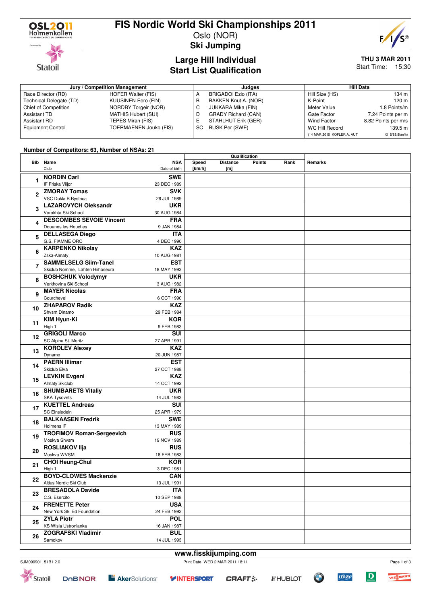

**Statoil** 

## **FIS Nordic World Ski Championships 2011**

Oslo (NOR) **Ski Jumping**



#### **Large Hill Individual Start List Qualification**

# **THU 3 MAR 2011**

Start Time: 15:30

| Jury / Competition Management |                            |    | Judaes                     | <b>Hill Data</b>           |                     |
|-------------------------------|----------------------------|----|----------------------------|----------------------------|---------------------|
| Race Director (RD)            | HOFER Walter (FIS)         | А  | BRIGADOI Ezio (ITA)        | Hill Size (HS)             | 134 m               |
| Technical Delegate (TD)       | <b>KUUSINEN Eero (FIN)</b> | в  | BAKKEN Knut A. (NOR)       | K-Point                    | 120 m               |
| Chief of Competition          | NORDBY Torgeir (NOR)       |    | JUKKARA Mika (FIN)         | Meter Value                | 1.8 Points/m        |
| <b>Assistant TD</b>           | MATHIS Hubert (SUI)        | D  | <b>GRADY Richard (CAN)</b> | Gate Factor                | 7.24 Points per m   |
| <b>Assistant RD</b>           | TEPES Miran (FIS)          |    | STAHLHUT Erik (GER)        | Wind Factor                | 8.82 Points per m/s |
| <b>Equipment Control</b>      | TOERMAENEN Jouko (FIS)     | SC | BUSK Per (SWE)             | WC Hill Record             | 139.5 m             |
|                               |                            |    |                            | (14 MAR 2010 KOFLER A. AUT | G16/88.8km/h)       |

#### **Number of Competitors: 63, Number of NSAs: 21**

|                |                                  |                             | Qualification   |                        |               |      |         |
|----------------|----------------------------------|-----------------------------|-----------------|------------------------|---------------|------|---------|
|                | <b>Bib</b> Name<br>Club          | <b>NSA</b><br>Date of birth | Speed<br>[km/h] | <b>Distance</b><br>[m] | <b>Points</b> | Rank | Remarks |
|                | <b>NORDIN Carl</b>               | <b>SWE</b>                  |                 |                        |               |      |         |
| 1              | IF Friska Viljor                 | 23 DEC 1989                 |                 |                        |               |      |         |
|                | <b>ZMORAY Tomas</b>              | <b>SVK</b>                  |                 |                        |               |      |         |
| $\mathbf{2}$   | VSC Dukla B.Bystrica             | 26 JUL 1989                 |                 |                        |               |      |         |
|                | <b>LAZAROVYCH Oleksandr</b>      | <b>UKR</b>                  |                 |                        |               |      |         |
| 3              | Vorokhta Ski School              | 30 AUG 1984                 |                 |                        |               |      |         |
|                | <b>DESCOMBES SEVOIE Vincent</b>  | <b>FRA</b>                  |                 |                        |               |      |         |
| 4              | Douanes les Houches              | 9 JAN 1984                  |                 |                        |               |      |         |
|                | <b>DELLASEGA Diego</b>           | <b>ITA</b>                  |                 |                        |               |      |         |
| 5              | G.S. FIAMME ORO                  | 4 DEC 1990                  |                 |                        |               |      |         |
|                | <b>KARPENKO Nikolay</b>          | <b>KAZ</b>                  |                 |                        |               |      |         |
| 6              | Zska-Almaty                      | 10 AUG 1981                 |                 |                        |               |      |         |
|                | <b>SAMMELSELG Siim-Tanel</b>     | <b>EST</b>                  |                 |                        |               |      |         |
| $\overline{7}$ | Skiclub Nomme, Lahten Hiihoseura | 18 MAY 1993                 |                 |                        |               |      |         |
|                | <b>BOSHCHUK Volodymyr</b>        | <b>UKR</b>                  |                 |                        |               |      |         |
| 8              | Verkhovina Ski School            |                             |                 |                        |               |      |         |
|                | <b>MAYER Nicolas</b>             | 3 AUG 1982<br><b>FRA</b>    |                 |                        |               |      |         |
| 9              | Courchevel                       |                             |                 |                        |               |      |         |
|                | <b>ZHAPAROV Radik</b>            | 6 OCT 1990<br><b>KAZ</b>    |                 |                        |               |      |         |
| 10             | Shysm Dinamo                     | 29 FEB 1984                 |                 |                        |               |      |         |
|                | <b>KIM Hyun-Ki</b>               | <b>KOR</b>                  |                 |                        |               |      |         |
| 11             | High 1                           | 9 FEB 1983                  |                 |                        |               |      |         |
|                | <b>GRIGOLI Marco</b>             | SUI                         |                 |                        |               |      |         |
| 12             | SC Alpina St. Moritz             | 27 APR 1991                 |                 |                        |               |      |         |
| 13             | <b>KOROLEV Alexey</b>            | <b>KAZ</b>                  |                 |                        |               |      |         |
|                | Dynamo                           | 20 JUN 1987                 |                 |                        |               |      |         |
|                | <b>PAERN Illimar</b>             | <b>EST</b>                  |                 |                        |               |      |         |
| 14             | Skiclub Elva                     | 27 OCT 1988                 |                 |                        |               |      |         |
|                | <b>LEVKIN Evgeni</b>             | <b>KAZ</b>                  |                 |                        |               |      |         |
| 15             | <b>Almaty Skiclub</b>            | 14 OCT 1992                 |                 |                        |               |      |         |
|                | <b>SHUMBARETS Vitaliy</b>        | <b>UKR</b>                  |                 |                        |               |      |         |
| 16             | <b>SKA Tysovets</b>              | 14 JUL 1983                 |                 |                        |               |      |         |
|                | <b>KUETTEL Andreas</b>           | <b>SUI</b>                  |                 |                        |               |      |         |
| 17             | SC Einsiedeln                    | 25 APR 1979                 |                 |                        |               |      |         |
|                | <b>BALKAASEN Fredrik</b>         | <b>SWE</b>                  |                 |                        |               |      |         |
| 18             | Holmens IF                       | 13 MAY 1989                 |                 |                        |               |      |         |
|                | <b>TROFIMOV Roman-Sergeevich</b> | <b>RUS</b>                  |                 |                        |               |      |         |
| 19             | Moskva Shvsm                     | 19 NOV 1989                 |                 |                        |               |      |         |
|                | <b>ROSLIAKOV IIja</b>            | <b>RUS</b>                  |                 |                        |               |      |         |
| 20             | Moskva WVSM                      | 18 FEB 1983                 |                 |                        |               |      |         |
|                | <b>CHOI Heung-Chul</b>           | <b>KOR</b>                  |                 |                        |               |      |         |
| 21             | High 1                           | 3 DEC 1981                  |                 |                        |               |      |         |
|                | <b>BOYD-CLOWES Mackenzie</b>     | <b>CAN</b>                  |                 |                        |               |      |         |
| 22             | Altius Nordic Ski Club           | 13 JUL 1991                 |                 |                        |               |      |         |
|                | <b>BRESADOLA Davide</b>          | <b>ITA</b>                  |                 |                        |               |      |         |
| 23<br>24       | C.S. Esercito                    | 10 SEP 1988                 |                 |                        |               |      |         |
|                | <b>FRENETTE Peter</b>            | <b>USA</b>                  |                 |                        |               |      |         |
|                | New York Ski Ed Foundation       | 24 FEB 1992                 |                 |                        |               |      |         |
|                | <b>ZYLA Piotr</b>                | <b>POL</b>                  |                 |                        |               |      |         |
| 25             | KS Wisla Ustronianka             | 16 JAN 1987                 |                 |                        |               |      |         |
|                | <b>ZOGRAFSKI Vladimir</b>        | <b>BUL</b>                  |                 |                        |               |      |         |
| 26             | Samokov                          | 14 JUL 1993                 |                 |                        |               |      |         |
|                |                                  |                             |                 |                        |               |      |         |









 $\overline{D}$ 

**LERØY** 

Page 1 of 3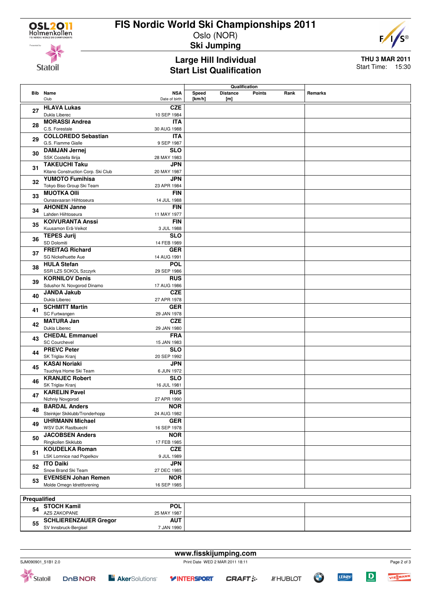

### **FIS Nordic World Ski Championships 2011**

Oslo (NOR) **Ski Jumping**



**Statoil** 

#### **Large Hill Individual Start List Qualification**

**THU 3 MAR 2011** Start Time: 15:30

|                     |                                     |               | Qualification |                 |               |      |         |
|---------------------|-------------------------------------|---------------|---------------|-----------------|---------------|------|---------|
|                     | <b>Bib</b> Name                     | <b>NSA</b>    | Speed         | <b>Distance</b> | <b>Points</b> | Rank | Remarks |
|                     | Club                                | Date of birth | [km/h]        | [m]             |               |      |         |
|                     | <b>HLAVA Lukas</b>                  | <b>CZE</b>    |               |                 |               |      |         |
| 27                  | Dukla Liberec                       | 10 SEP 1984   |               |                 |               |      |         |
|                     | <b>MORASSI Andrea</b>               | <b>ITA</b>    |               |                 |               |      |         |
| 28                  | C.S. Forestale                      | 30 AUG 1988   |               |                 |               |      |         |
|                     |                                     |               |               |                 |               |      |         |
| 29                  | <b>COLLOREDO Sebastian</b>          | <b>ITA</b>    |               |                 |               |      |         |
|                     | G.S. Fiamme Gialle                  | 9 SEP 1987    |               |                 |               |      |         |
| 30                  | <b>DAMJAN Jernej</b>                | <b>SLO</b>    |               |                 |               |      |         |
|                     | SSK Costella Ilirija                | 28 MAY 1983   |               |                 |               |      |         |
| 31                  | <b>TAKEUCHI Taku</b>                | <b>JPN</b>    |               |                 |               |      |         |
|                     | Kitano Construction Corp. Ski Club  | 20 MAY 1987   |               |                 |               |      |         |
| 32                  | <b>YUMOTO Fumihisa</b>              | <b>JPN</b>    |               |                 |               |      |         |
|                     | Tokyo Biso Group Ski Team           | 23 APR 1984   |               |                 |               |      |         |
| 33                  | <b>MUOTKA OIII</b>                  | <b>FIN</b>    |               |                 |               |      |         |
|                     | Ounasvaaran Hiihtoseura             | 14 JUL 1988   |               |                 |               |      |         |
| 34                  | <b>AHONEN Janne</b>                 | <b>FIN</b>    |               |                 |               |      |         |
|                     | Lahden Hiihtoseura                  | 11 MAY 1977   |               |                 |               |      |         |
|                     | <b>KOIVURANTA Anssi</b>             | <b>FIN</b>    |               |                 |               |      |         |
| 35                  | Kuusamon Erä-Veikot                 | 3 JUL 1988    |               |                 |               |      |         |
|                     | <b>TEPES Jurij</b>                  | <b>SLO</b>    |               |                 |               |      |         |
| 36                  | SD Dolomiti                         | 14 FEB 1989   |               |                 |               |      |         |
|                     | <b>FREITAG Richard</b>              | <b>GER</b>    |               |                 |               |      |         |
| 37                  | SG Nickelhuette Aue                 | 14 AUG 1991   |               |                 |               |      |         |
|                     | <b>HULA Stefan</b>                  | <b>POL</b>    |               |                 |               |      |         |
| 38                  | SSR LZS SOKOL Szczyrk               | 29 SEP 1986   |               |                 |               |      |         |
|                     | <b>KORNILOV Denis</b>               | <b>RUS</b>    |               |                 |               |      |         |
| 39                  | Sdushor N. Novgorod Dinamo          | 17 AUG 1986   |               |                 |               |      |         |
|                     |                                     | <b>CZE</b>    |               |                 |               |      |         |
| 40                  | <b>JANDA Jakub</b><br>Dukla Liberec |               |               |                 |               |      |         |
|                     |                                     | 27 APR 1978   |               |                 |               |      |         |
| 41                  | <b>SCHMITT Martin</b>               | <b>GER</b>    |               |                 |               |      |         |
|                     | SC Furtwangen                       | 29 JAN 1978   |               |                 |               |      |         |
| 42                  | <b>MATURA Jan</b>                   | <b>CZE</b>    |               |                 |               |      |         |
|                     | Dukla Liberec                       | 29 JAN 1980   |               |                 |               |      |         |
| 43                  | <b>CHEDAL Emmanuel</b>              | <b>FRA</b>    |               |                 |               |      |         |
|                     | <b>SC Courchevel</b>                | 15 JAN 1983   |               |                 |               |      |         |
| 44                  | <b>PREVC Peter</b>                  | <b>SLO</b>    |               |                 |               |      |         |
|                     | SK Triglav Kranj                    | 20 SEP 1992   |               |                 |               |      |         |
| 45                  | <b>KASAI Noriaki</b>                | <b>JPN</b>    |               |                 |               |      |         |
|                     | Tsuchiya Home Ski Team              | 6 JUN 1972    |               |                 |               |      |         |
| 46                  | <b>KRANJEC Robert</b>               | <b>SLO</b>    |               |                 |               |      |         |
|                     | SK Triglav Kranj                    | 16 JUL 1981   |               |                 |               |      |         |
| 47                  | <b>KARELIN Pavel</b>                | <b>RUS</b>    |               |                 |               |      |         |
|                     | Nizhniy Novgorod                    | 27 APR 1990   |               |                 |               |      |         |
|                     | <b>BARDAL Anders</b>                | <b>NOR</b>    |               |                 |               |      |         |
| 48                  | Steinkjer Skiklubb/Tronderhopp      | 24 AUG 1982   |               |                 |               |      |         |
|                     | <b>UHRMANN Michael</b>              | <b>GER</b>    |               |                 |               |      |         |
| 49                  | WSV DJK Rastbuechl                  | 16 SEP 1978   |               |                 |               |      |         |
|                     | <b>JACOBSEN Anders</b>              | <b>NOR</b>    |               |                 |               |      |         |
| 50                  | Ringkollen Skiklubb                 | 17 FEB 1985   |               |                 |               |      |         |
|                     | <b>KOUDELKA Roman</b>               | <b>CZE</b>    |               |                 |               |      |         |
| 51                  | LSK Lomnice nad Popelkov            | 9 JUL 1989    |               |                 |               |      |         |
|                     | <b>ITO Daiki</b>                    | <b>JPN</b>    |               |                 |               |      |         |
| 52                  | Snow Brand Ski Team                 |               |               |                 |               |      |         |
|                     |                                     | 27 DEC 1985   |               |                 |               |      |         |
| 53                  | <b>EVENSEN Johan Remen</b>          | <b>NOR</b>    |               |                 |               |      |         |
|                     | Molde Omegn Idrettforening          | 16 SEP 1985   |               |                 |               |      |         |
|                     |                                     |               |               |                 |               |      |         |
| <b>Prequalified</b> |                                     |               |               |                 |               |      |         |

| .  |                              |             |  |
|----|------------------------------|-------------|--|
| 54 | <b>STOCH Kamil</b>           | <b>POL</b>  |  |
|    | AZS ZAKOPANE                 | 25 MAY 1987 |  |
| 55 | <b>SCHLIERENZAUER Gregor</b> | <b>AUT</b>  |  |
|    | SV Innsbruck-Bergisel        | 7 JAN 1990  |  |

| www.fisskijumping.com |               |                                     |                                 |  |                 |  |             |   |          |
|-----------------------|---------------|-------------------------------------|---------------------------------|--|-----------------|--|-------------|---|----------|
| SJM090901 51B1 2.0    |               |                                     | Print Date WED 2 MAR 2011 18:11 |  |                 |  | Page 2 of 3 |   |          |
| Statoil               | <b>DOBNOR</b> | <b>E</b> AkerSolutions <sup>®</sup> | <b>VINTERSPORT CRAFT:</b>       |  | <b>A'HUBLOT</b> |  | LEROY       | D | VIESMANN |